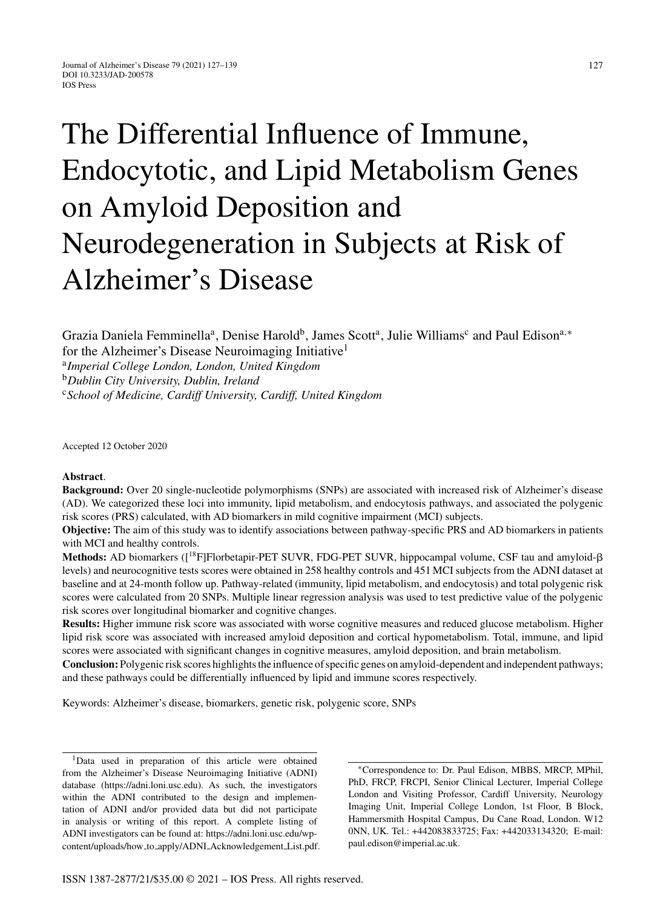# The Differential Influence of Immune, Endocytotic, and Lipid Metabolism Genes on Amyloid Deposition and Neurodegeneration in Subjects at Risk of Alzheimer's Disease

Grazia Daniela Femminella<sup>a</sup>, Denise Harold<sup>b</sup>, James Scott<sup>a</sup>, Julie Williams<sup>c</sup> and Paul Edison<sup>a,∗</sup> for the Alzheimer's Disease Neuroimaging Initiative<sup>1</sup>

<sup>a</sup>*Imperial College London, London, United Kingdom*

<sup>b</sup>*Dublin City University, Dublin, Ireland*

<sup>c</sup>*School of Medicine, Cardiff University, Cardiff, United Kingdom*

Accepted 12 October 2020

## **Abstract**.

**Background:** Over 20 single-nucleotide polymorphisms (SNPs) are associated with increased risk of Alzheimer's disease (AD). We categorized these loci into immunity, lipid metabolism, and endocytosis pathways, and associated the polygenic risk scores (PRS) calculated, with AD biomarkers in mild cognitive impairment (MCI) subjects.

**Objective:** The aim of this study was to identify associations between pathway-specific PRS and AD biomarkers in patients with MCI and healthy controls.

**Methods:** AD biomarkers ([<sup>18</sup>F]Florbetapir-PET SUVR, FDG-PET SUVR, hippocampal volume, CSF tau and amyloid-β levels) and neurocognitive tests scores were obtained in 258 healthy controls and 451 MCI subjects from the ADNI dataset at baseline and at 24-month follow up. Pathway-related (immunity, lipid metabolism, and endocytosis) and total polygenic risk scores were calculated from 20 SNPs. Multiple linear regression analysis was used to test predictive value of the polygenic risk scores over longitudinal biomarker and cognitive changes.

**Results:** Higher immune risk score was associated with worse cognitive measures and reduced glucose metabolism. Higher lipid risk score was associated with increased amyloid deposition and cortical hypometabolism. Total, immune, and lipid scores were associated with significant changes in cognitive measures, amyloid deposition, and brain metabolism.

**Conclusion:** Polygenic risk scores highlights the influence of specific genes on amyloid-dependent and independent pathways; and these pathways could be differentially influenced by lipid and immune scores respectively.

Keywords: Alzheimer's disease, biomarkers, genetic risk, polygenic score, SNPs

1Data used in preparation of this article were obtained from the Alzheimer's Disease Neuroimaging Initiative (ADNI) database [\(https://adni.loni.usc.edu\)](https://adni.loni.usc.edu). As such, the investigators within the ADNI contributed to the design and implementation of ADNI and/or provided data but did not participate in analysis or writing of this report. A complete listing of ADNI investigators can be found at: https://adni.loni.usc.edu/wpcontent/uploads/how to apply/ADNI Acknowledgement List.pdf.

∗Correspondence to: Dr. Paul Edison, MBBS, MRCP, MPhil, PhD, FRCP, FRCPI, Senior Clinical Lecturer, Imperial College London and Visiting Professor, Cardiff University, Neurology Imaging Unit, Imperial College London, 1st Floor, B Block, Hammersmith Hospital Campus, Du Cane Road, London. W12 [0NN, UK. Tel.: +442083833725; Fax: +44203313432](https://adni.loni.usc.edu/wp-content/uploads/how_to_apply/ADNI_Acknowledgement_List.pdf)0; E-mail: [paul.edison@imperial.ac.uk](mailto:paul.edison@imperial.ac.uk).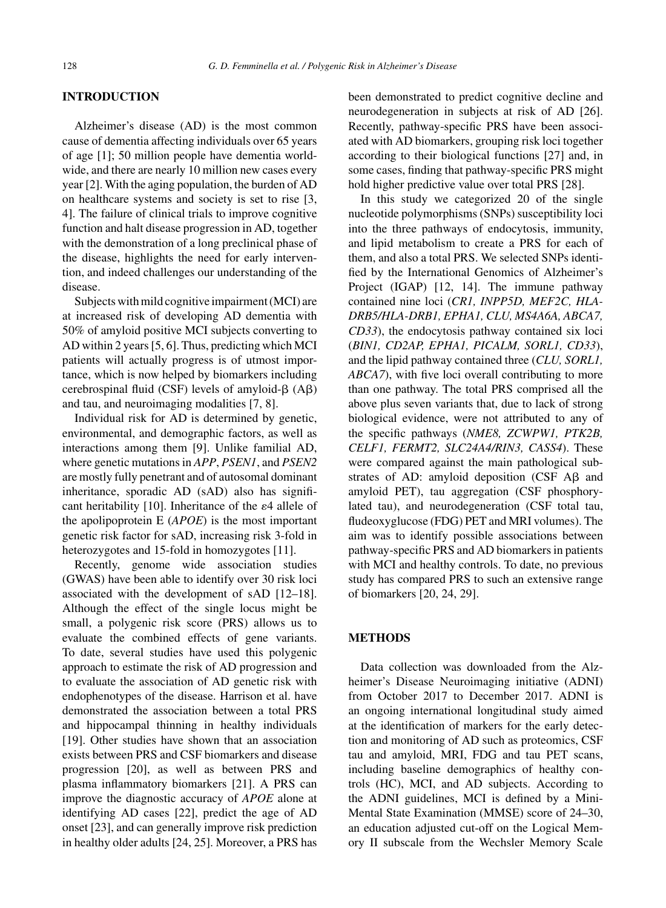#### **INTRODUCTION**

Alzheimer's disease (AD) is the most common cause of dementia affecting individuals over 65 years of age [1]; 50 million people have dementia worldwide, and there are nearly 10 million new cases every year [2]. With the aging population, the burden of AD on healthcare systems and society is set to rise [3, 4]. The failure of clinical trials to improve cognitive function and halt disease progression in AD, together with the demonstration of a long preclinical phase of the disease, highlights the need for early intervention, and indeed challenges our understanding of the disease.

Subjects with mild cognitive impairment (MCI) are at increased risk of developing AD dementia with 50% of amyloid positive MCI subjects converting to AD within 2 years [5, 6]. Thus, predicting which MCI patients will actually progress is of utmost importance, which is now helped by biomarkers including cerebrospinal fluid (CSF) levels of amyloid- $\beta$  (A $\beta$ ) and tau, and neuroimaging modalities [7, 8].

Individual risk for AD is determined by genetic, environmental, and demographic factors, as well as interactions among them [9]. Unlike familial AD, where genetic mutations in *APP*, *PSEN1*, and *PSEN2* are mostly fully penetrant and of autosomal dominant inheritance, sporadic AD (sAD) also has significant heritability [10]. Inheritance of the  $\varepsilon$ 4 allele of the apolipoprotein E (*APOE*) is the most important genetic risk factor for sAD, increasing risk 3-fold in heterozygotes and 15-fold in homozygotes [11].

Recently, genome wide association studies (GWAS) have been able to identify over 30 risk loci associated with the development of sAD [12–18]. Although the effect of the single locus might be small, a polygenic risk score (PRS) allows us to evaluate the combined effects of gene variants. To date, several studies have used this polygenic approach to estimate the risk of AD progression and to evaluate the association of AD genetic risk with endophenotypes of the disease. Harrison et al. have demonstrated the association between a total PRS and hippocampal thinning in healthy individuals [19]. Other studies have shown that an association exists between PRS and CSF biomarkers and disease progression [20], as well as between PRS and plasma inflammatory biomarkers [21]. A PRS can improve the diagnostic accuracy of *APOE* alone at identifying AD cases [22], predict the age of AD onset [23], and can generally improve risk prediction in healthy older adults [24, 25]. Moreover, a PRS has

been demonstrated to predict cognitive decline and neurodegeneration in subjects at risk of AD [26]. Recently, pathway-specific PRS have been associated with AD biomarkers, grouping risk loci together according to their biological functions [27] and, in some cases, finding that pathway-specific PRS might hold higher predictive value over total PRS [28].

In this study we categorized 20 of the single nucleotide polymorphisms (SNPs) susceptibility loci into the three pathways of endocytosis, immunity, and lipid metabolism to create a PRS for each of them, and also a total PRS. We selected SNPs identified by the International Genomics of Alzheimer's Project (IGAP) [12, 14]. The immune pathway contained nine loci (*CR1, INPP5D, MEF2C, HLA-DRB5/HLA-DRB1, EPHA1, CLU, MS4A6A, ABCA7, CD33*), the endocytosis pathway contained six loci (*BIN1, CD2AP, EPHA1, PICALM, SORL1, CD33*), and the lipid pathway contained three (*CLU, SORL1, ABCA7*), with five loci overall contributing to more than one pathway. The total PRS comprised all the above plus seven variants that, due to lack of strong biological evidence, were not attributed to any of the specific pathways (*NME8, ZCWPW1, PTK2B, CELF1, FERMT2, SLC24A4/RIN3, CASS4*). These were compared against the main pathological substrates of AD: amyloid deposition (CSF  $\overrightarrow{AB}$  and amyloid PET), tau aggregation (CSF phosphorylated tau), and neurodegeneration (CSF total tau, fludeoxyglucose (FDG) PET and MRI volumes). The aim was to identify possible associations between pathway-specific PRS and AD biomarkers in patients with MCI and healthy controls. To date, no previous study has compared PRS to such an extensive range of biomarkers [20, 24, 29].

## **METHODS**

Data collection was downloaded from the Alzheimer's Disease Neuroimaging initiative (ADNI) from October 2017 to December 2017. ADNI is an ongoing international longitudinal study aimed at the identification of markers for the early detection and monitoring of AD such as proteomics, CSF tau and amyloid, MRI, FDG and tau PET scans, including baseline demographics of healthy controls (HC), MCI, and AD subjects. According to the ADNI guidelines, MCI is defined by a Mini-Mental State Examination (MMSE) score of 24–30, an education adjusted cut-off on the Logical Memory II subscale from the Wechsler Memory Scale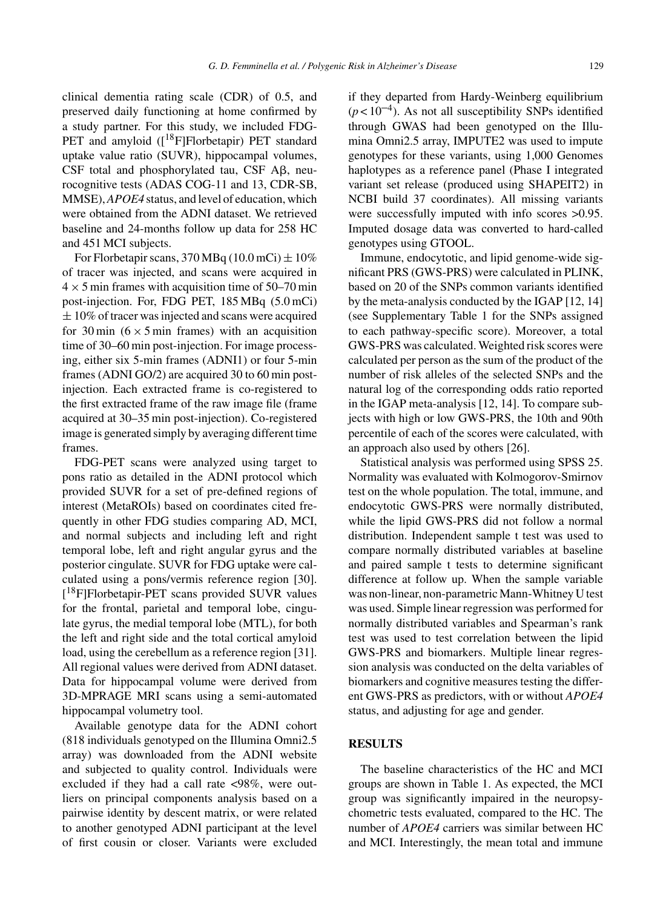clinical dementia rating scale (CDR) of 0.5, and preserved daily functioning at home confirmed by a study partner. For this study, we included FDG-PET and amyloid ([<sup>18</sup>F]Florbetapir) PET standard uptake value ratio (SUVR), hippocampal volumes,  $CSF$  total and phosphorylated tau,  $CSF$  A $\beta$ , neurocognitive tests (ADAS COG-11 and 13, CDR-SB, MMSE),*APOE4* status, and level of education, which were obtained from the ADNI dataset. We retrieved baseline and 24-months follow up data for 258 HC and 451 MCI subjects.

For Florbetapir scans,  $370 \text{ MBq} (10.0 \text{ mCi}) \pm 10\%$ of tracer was injected, and scans were acquired in  $4 \times 5$  min frames with acquisition time of 50–70 min post-injection. For, FDG PET, 185 MBq (5.0 mCi)  $\pm 10\%$  of tracer was injected and scans were acquired for 30 min  $(6 \times 5 \text{ min}$  frames) with an acquisition time of 30–60 min post-injection. For image processing, either six 5-min frames (ADNI1) or four 5-min frames (ADNI GO/2) are acquired 30 to 60 min postinjection. Each extracted frame is co-registered to the first extracted frame of the raw image file (frame acquired at 30–35 min post-injection). Co-registered image is generated simply by averaging different time frames.

FDG-PET scans were analyzed using target to pons ratio as detailed in the ADNI protocol which provided SUVR for a set of pre-defined regions of interest (MetaROIs) based on coordinates cited frequently in other FDG studies comparing AD, MCI, and normal subjects and including left and right temporal lobe, left and right angular gyrus and the posterior cingulate. SUVR for FDG uptake were calculated using a pons/vermis reference region [30]. [<sup>18</sup>F]Florbetapir-PET scans provided SUVR values for the frontal, parietal and temporal lobe, cingulate gyrus, the medial temporal lobe (MTL), for both the left and right side and the total cortical amyloid load, using the cerebellum as a reference region [31]. All regional values were derived from ADNI dataset. Data for hippocampal volume were derived from 3D-MPRAGE MRI scans using a semi-automated hippocampal volumetry tool.

Available genotype data for the ADNI cohort (818 individuals genotyped on the Illumina Omni2.5 array) was downloaded from the ADNI website and subjected to quality control. Individuals were excluded if they had a call rate <98%, were outliers on principal components analysis based on a pairwise identity by descent matrix, or were related to another genotyped ADNI participant at the level of first cousin or closer. Variants were excluded

if they departed from Hardy-Weinberg equilibrium  $(p<10^{-4})$ . As not all susceptibility SNPs identified through GWAS had been genotyped on the Illumina Omni2.5 array, IMPUTE2 was used to impute genotypes for these variants, using 1,000 Genomes haplotypes as a reference panel (Phase I integrated variant set release (produced using SHAPEIT2) in NCBI build 37 coordinates). All missing variants were successfully imputed with info scores >0.95. Imputed dosage data was converted to hard-called genotypes using GTOOL.

Immune, endocytotic, and lipid genome-wide significant PRS (GWS-PRS) were calculated in PLINK, based on 20 of the SNPs common variants identified by the meta-analysis conducted by the IGAP [12, 14] (see Supplementary Table 1 for the SNPs assigned to each pathway-specific score). Moreover, a total GWS-PRS was calculated. Weighted risk scores were calculated per person as the sum of the product of the number of risk alleles of the selected SNPs and the natural log of the corresponding odds ratio reported in the IGAP meta-analysis [12, 14]. To compare subjects with high or low GWS-PRS, the 10th and 90th percentile of each of the scores were calculated, with an approach also used by others [26].

Statistical analysis was performed using SPSS 25. Normality was evaluated with Kolmogorov-Smirnov test on the whole population. The total, immune, and endocytotic GWS-PRS were normally distributed, while the lipid GWS-PRS did not follow a normal distribution. Independent sample t test was used to compare normally distributed variables at baseline and paired sample t tests to determine significant difference at follow up. When the sample variable was non-linear, non-parametric Mann-Whitney U test was used. Simple linear regression was performed for normally distributed variables and Spearman's rank test was used to test correlation between the lipid GWS-PRS and biomarkers. Multiple linear regression analysis was conducted on the delta variables of biomarkers and cognitive measures testing the different GWS-PRS as predictors, with or without *APOE4* status, and adjusting for age and gender.

# **RESULTS**

The baseline characteristics of the HC and MCI groups are shown in Table 1. As expected, the MCI group was significantly impaired in the neuropsychometric tests evaluated, compared to the HC. The number of *APOE4* carriers was similar between HC and MCI. Interestingly, the mean total and immune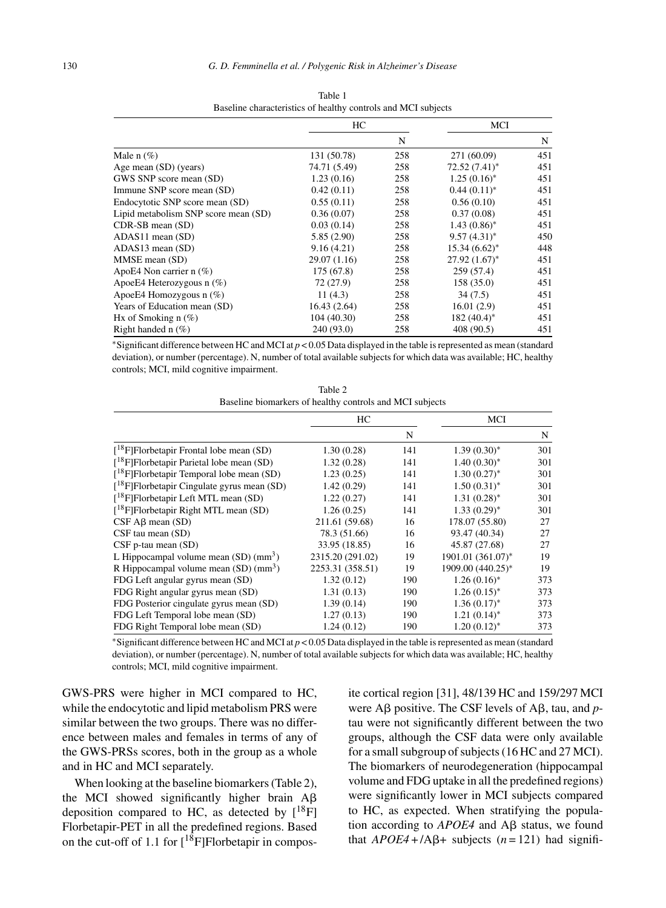|                                      | HС           |     | MCI             |     |
|--------------------------------------|--------------|-----|-----------------|-----|
|                                      |              | N   |                 | N   |
| Male $n$ (%)                         | 131 (50.78)  | 258 | 271 (60.09)     | 451 |
| Age mean (SD) (years)                | 74.71 (5.49) | 258 | $72.52(7.41)^*$ | 451 |
| GWS SNP score mean (SD)              | 1.23(0.16)   | 258 | $1.25(0.16)^*$  | 451 |
| Immune SNP score mean (SD)           | 0.42(0.11)   | 258 | $0.44(0.11)^*$  | 451 |
| Endocytotic SNP score mean (SD)      | 0.55(0.11)   | 258 | 0.56(0.10)      | 451 |
| Lipid metabolism SNP score mean (SD) | 0.36(0.07)   | 258 | 0.37(0.08)      | 451 |
| CDR-SB mean (SD)                     | 0.03(0.14)   | 258 | $1.43(0.86)^*$  | 451 |
| $ADAS11$ mean $(SD)$                 | 5.85(2.90)   | 258 | $9.57(4.31)^*$  | 450 |
| ADAS13 mean (SD)                     | 9.16(4.21)   | 258 | $15.34(6.62)^*$ | 448 |
| MMSE mean (SD)                       | 29.07 (1.16) | 258 | $27.92(1.67)^*$ | 451 |
| ApoE4 Non carrier $n$ (%)            | 175 (67.8)   | 258 | 259(57.4)       | 451 |
| ApoeE4 Heterozygous $n$ (%)          | 72(27.9)     | 258 | 158 (35.0)      | 451 |
| ApoeE4 Homozygous $n$ (%)            | 11(4.3)      | 258 | 34 (7.5)        | 451 |
| Years of Education mean (SD)         | 16.43(2.64)  | 258 | 16.01(2.9)      | 451 |
| Hx of Smoking $n$ (%)                | 104(40.30)   | 258 | $182(40.4)^*$   | 451 |
| Right handed $n$ (%)                 | 240 (93.0)   | 258 | 408 (90.5)      | 451 |

Table 1 Baseline characteristics of healthy controls and MCI subjects

∗Significant difference between HC and MCI at *p* < 0.05 Data displayed in the table is represented as mean (standard deviation), or number (percentage). N, number of total available subjects for which data was available; HC, healthy controls; MCI, mild cognitive impairment.

| Table 2                                                  |
|----------------------------------------------------------|
| Baseline biomarkers of healthy controls and MCI subjects |

|                                                     | HC               |     | MCI               |     |
|-----------------------------------------------------|------------------|-----|-------------------|-----|
|                                                     |                  | N   |                   | N   |
| $[{}^{18}F]$ Florbetapir Frontal lobe mean (SD)     | 1.30(0.28)       | 141 | $1.39(0.30)^*$    | 301 |
| $[{}^{18}F]$ Florbetapir Parietal lobe mean (SD)    | 1.32(0.28)       | 141 | $1.40(0.30)^{*}$  | 301 |
| $[{}^{18}F]$ Florbetapir Temporal lobe mean (SD)    | 1.23(0.25)       | 141 | $1.30(0.27)^{*}$  | 301 |
| $[{}^{18}F]$ Florbetapir Cingulate gyrus mean (SD)  | 1.42(0.29)       | 141 | $1.50(0.31)^{*}$  | 301 |
| $[{}^{18}$ F Florbetapir Left MTL mean (SD)         | 1.22(0.27)       | 141 | $1.31(0.28)^*$    | 301 |
| $[{}^{18}F]$ Florbetapir Right MTL mean (SD)        | 1.26(0.25)       | 141 | $1.33(0.29)^{*}$  | 301 |
| $CSF AB$ mean $(SD)$                                | 211.61 (59.68)   | 16  | 178.07 (55.80)    | 27  |
| $CSF$ tau mean $(SD)$                               | 78.3 (51.66)     | 16  | 93.47 (40.34)     | 27  |
| $CSF$ p-tau mean $(SD)$                             | 33.95 (18.85)    | 16  | 45.87 (27.68)     | 27  |
| L Hippocampal volume mean $(SD)$ (mm <sup>3</sup> ) | 2315.20 (291.02) | 19  | 1901.01 (361.07)* | 19  |
| R Hippocampal volume mean $(SD)$ (mm <sup>3</sup> ) | 2253.31 (358.51) | 19  | 1909.00 (440.25)* | 19  |
| FDG Left angular gyrus mean (SD)                    | 1.32(0.12)       | 190 | $1.26(0.16)^*$    | 373 |
| FDG Right angular gyrus mean (SD)                   | 1.31(0.13)       | 190 | $1.26(0.15)^{*}$  | 373 |
| FDG Posterior cingulate gyrus mean (SD)             | 1.39(0.14)       | 190 | $1.36(0.17)^{*}$  | 373 |
| FDG Left Temporal lobe mean (SD)                    | 1.27(0.13)       | 190 | $1.21(0.14)^*$    | 373 |
| FDG Right Temporal lobe mean (SD)                   | 1.24(0.12)       | 190 | $1.20(0.12)^{*}$  | 373 |

∗Significant difference between HC and MCI at *p* < 0.05 Data displayed in the table is represented as mean (standard deviation), or number (percentage). N, number of total available subjects for which data was available; HC, healthy controls; MCI, mild cognitive impairment.

GWS-PRS were higher in MCI compared to HC, while the endocytotic and lipid metabolism PRS were similar between the two groups. There was no difference between males and females in terms of any of the GWS-PRSs scores, both in the group as a whole and in HC and MCI separately.

When looking at the baseline biomarkers (Table 2), the MCI showed significantly higher brain  $A\beta$ deposition compared to HC, as detected by  $[18F]$ Florbetapir-PET in all the predefined regions. Based on the cut-off of 1.1 for  $[1^8F]$ Florbetapir in composite cortical region [31], 48/139 HC and 159/297 MCI were  $\text{A}\beta$  positive. The CSF levels of  $\text{A}\beta$ , tau, and ptau were not significantly different between the two groups, although the CSF data were only available for a small subgroup of subjects (16 HC and 27 MCI). The biomarkers of neurodegeneration (hippocampal volume and FDG uptake in all the predefined regions) were significantly lower in MCI subjects compared to HC, as expected. When stratifying the population according to  $APOE4$  and  $\overrightarrow{AB}$  status, we found that  $APOE4 + /A\beta$ + subjects (*n* = 121) had signifi-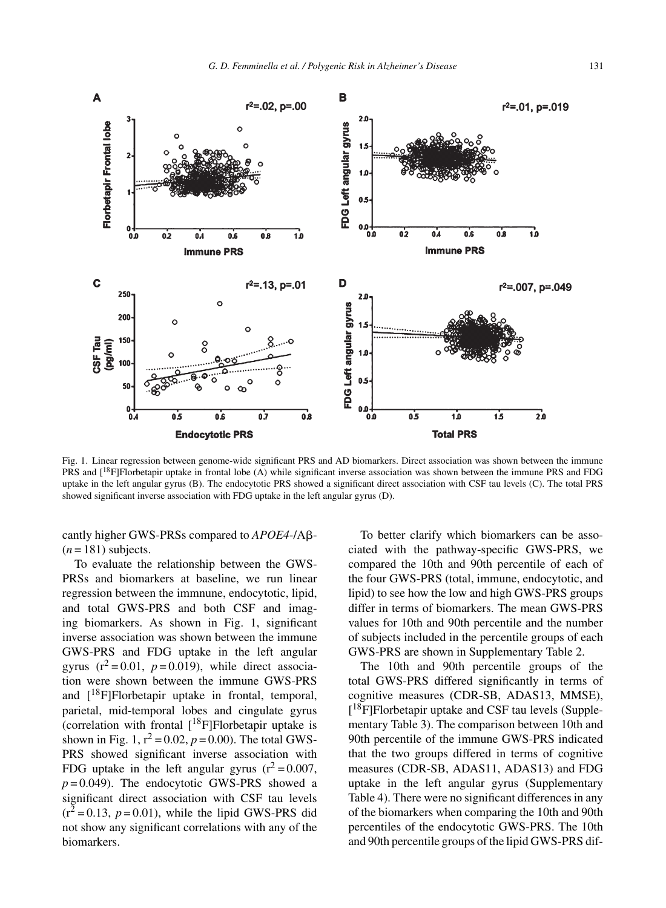

Fig. 1. Linear regression between genome-wide significant PRS and AD biomarkers. Direct association was shown between the immune PRS and [<sup>18</sup>F]Florbetapir uptake in frontal lobe (A) while significant inverse association was shown between the immune PRS and FDG uptake in the left angular gyrus (B). The endocytotic PRS showed a significant direct association with CSF tau levels (C). The total PRS showed significant inverse association with FDG uptake in the left angular gyrus (D).

cantly higher GWS-PRSs compared to APOE4-/Aß- $(n = 181)$  subjects.

To evaluate the relationship between the GWS-PRSs and biomarkers at baseline, we run linear regression between the immnune, endocytotic, lipid, and total GWS-PRS and both CSF and imaging biomarkers. As shown in Fig. 1, significant inverse association was shown between the immune GWS-PRS and FDG uptake in the left angular gyrus  $(r^2 = 0.01, p = 0.019)$ , while direct association were shown between the immune GWS-PRS and  $[18F]$ Florbetapir uptake in frontal, temporal, parietal, mid-temporal lobes and cingulate gyrus (correlation with frontal  $[{}^{18}F]$ Florbetapir uptake is shown in Fig. 1,  $r^2 = 0.02$ ,  $p = 0.00$ ). The total GWS-PRS showed significant inverse association with FDG uptake in the left angular gyrus  $(r^2 = 0.007,$  $p = 0.049$ ). The endocytotic GWS-PRS showed a significant direct association with CSF tau levels  $(r^2 = 0.13, p = 0.01)$ , while the lipid GWS-PRS did not show any significant correlations with any of the biomarkers.

To better clarify which biomarkers can be associated with the pathway-specific GWS-PRS, we compared the 10th and 90th percentile of each of the four GWS-PRS (total, immune, endocytotic, and lipid) to see how the low and high GWS-PRS groups differ in terms of biomarkers. The mean GWS-PRS values for 10th and 90th percentile and the number of subjects included in the percentile groups of each GWS-PRS are shown in Supplementary Table 2.

The 10th and 90th percentile groups of the total GWS-PRS differed significantly in terms of cognitive measures (CDR-SB, ADAS13, MMSE), [ 18F]Florbetapir uptake and CSF tau levels (Supplementary Table 3). The comparison between 10th and 90th percentile of the immune GWS-PRS indicated that the two groups differed in terms of cognitive measures (CDR-SB, ADAS11, ADAS13) and FDG uptake in the left angular gyrus (Supplementary Table 4). There were no significant differences in any of the biomarkers when comparing the 10th and 90th percentiles of the endocytotic GWS-PRS. The 10th and 90th percentile groups of the lipid GWS-PRS dif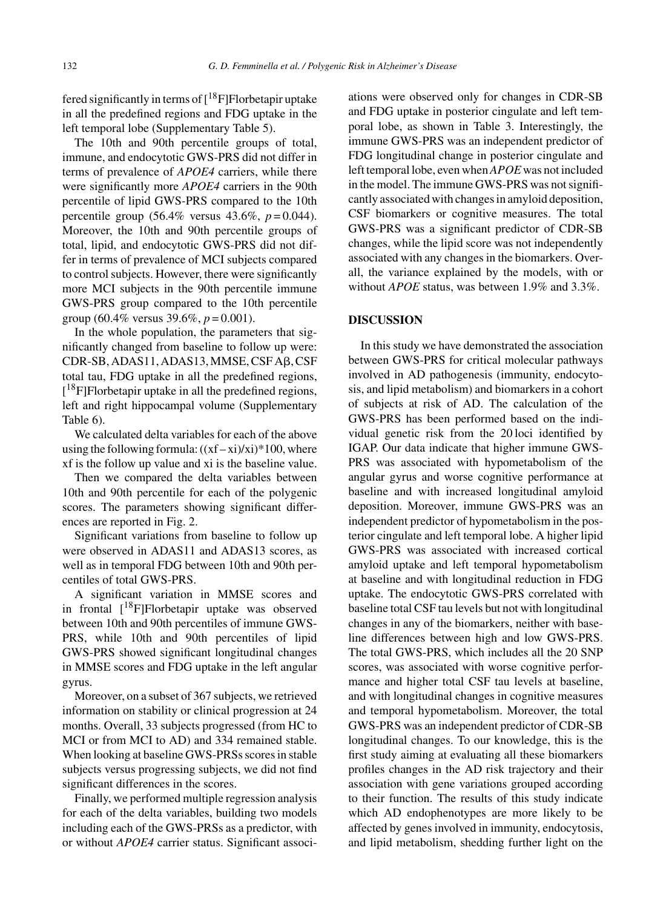fered significantly in terms of  $[18F]$ Florbetapir uptake in all the predefined regions and FDG uptake in the left temporal lobe (Supplementary Table 5).

The 10th and 90th percentile groups of total, immune, and endocytotic GWS-PRS did not differ in terms of prevalence of *APOE4* carriers, while there were significantly more *APOE4* carriers in the 90th percentile of lipid GWS-PRS compared to the 10th percentile group (56.4% versus 43.6%, *p* = 0.044). Moreover, the 10th and 90th percentile groups of total, lipid, and endocytotic GWS-PRS did not differ in terms of prevalence of MCI subjects compared to control subjects. However, there were significantly more MCI subjects in the 90th percentile immune GWS-PRS group compared to the 10th percentile group (60.4% versus 39.6%, *p* = 0.001).

In the whole population, the parameters that significantly changed from baseline to follow up were: CDR-SB, ADAS11, ADAS13, MMSE, CSF Aβ, CSF total tau, FDG uptake in all the predefined regions, [<sup>18</sup>F]Florbetapir uptake in all the predefined regions, left and right hippocampal volume (Supplementary Table 6).

We calculated delta variables for each of the above using the following formula:  $((xf - xi)/xi)^*100$ , where xf is the follow up value and xi is the baseline value.

Then we compared the delta variables between 10th and 90th percentile for each of the polygenic scores. The parameters showing significant differences are reported in Fig. 2.

Significant variations from baseline to follow up were observed in ADAS11 and ADAS13 scores, as well as in temporal FDG between 10th and 90th percentiles of total GWS-PRS.

A significant variation in MMSE scores and in frontal  $[$ <sup>18</sup>F]Florbetapir uptake was observed between 10th and 90th percentiles of immune GWS-PRS, while 10th and 90th percentiles of lipid GWS-PRS showed significant longitudinal changes in MMSE scores and FDG uptake in the left angular gyrus.

Moreover, on a subset of 367 subjects, we retrieved information on stability or clinical progression at 24 months. Overall, 33 subjects progressed (from HC to MCI or from MCI to AD) and 334 remained stable. When looking at baseline GWS-PRSs scores in stable subjects versus progressing subjects, we did not find significant differences in the scores.

Finally, we performed multiple regression analysis for each of the delta variables, building two models including each of the GWS-PRSs as a predictor, with or without *APOE4* carrier status. Significant associations were observed only for changes in CDR-SB and FDG uptake in posterior cingulate and left temporal lobe, as shown in Table 3. Interestingly, the immune GWS-PRS was an independent predictor of FDG longitudinal change in posterior cingulate and left temporal lobe, even when*APOE* was not included in the model. The immune GWS-PRS was not significantly associated with changes in amyloid deposition, CSF biomarkers or cognitive measures. The total GWS-PRS was a significant predictor of CDR-SB changes, while the lipid score was not independently associated with any changes in the biomarkers. Overall, the variance explained by the models, with or without *APOE* status, was between 1.9% and 3.3%.

## **DISCUSSION**

In this study we have demonstrated the association between GWS-PRS for critical molecular pathways involved in AD pathogenesis (immunity, endocytosis, and lipid metabolism) and biomarkers in a cohort of subjects at risk of AD. The calculation of the GWS-PRS has been performed based on the individual genetic risk from the 20 loci identified by IGAP. Our data indicate that higher immune GWS-PRS was associated with hypometabolism of the angular gyrus and worse cognitive performance at baseline and with increased longitudinal amyloid deposition. Moreover, immune GWS-PRS was an independent predictor of hypometabolism in the posterior cingulate and left temporal lobe. A higher lipid GWS-PRS was associated with increased cortical amyloid uptake and left temporal hypometabolism at baseline and with longitudinal reduction in FDG uptake. The endocytotic GWS-PRS correlated with baseline total CSF tau levels but not with longitudinal changes in any of the biomarkers, neither with baseline differences between high and low GWS-PRS. The total GWS-PRS, which includes all the 20 SNP scores, was associated with worse cognitive performance and higher total CSF tau levels at baseline, and with longitudinal changes in cognitive measures and temporal hypometabolism. Moreover, the total GWS-PRS was an independent predictor of CDR-SB longitudinal changes. To our knowledge, this is the first study aiming at evaluating all these biomarkers profiles changes in the AD risk trajectory and their association with gene variations grouped according to their function. The results of this study indicate which AD endophenotypes are more likely to be affected by genes involved in immunity, endocytosis, and lipid metabolism, shedding further light on the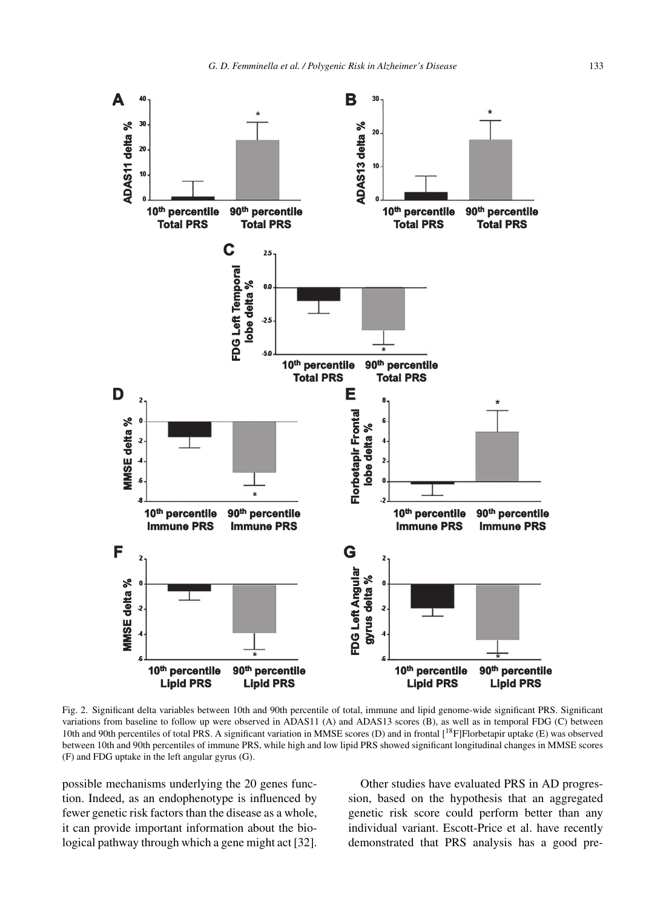

Fig. 2. Significant delta variables between 10th and 90th percentile of total, immune and lipid genome-wide significant PRS. Significant variations from baseline to follow up were observed in ADAS11 (A) and ADAS13 scores (B), as well as in temporal FDG (C) between 10th and 90th percentiles of total PRS. A significant variation in MMSE scores (D) and in frontal [18F]Florbetapir uptake (E) was observed between 10th and 90th percentiles of immune PRS, while high and low lipid PRS showed significant longitudinal changes in MMSE scores (F) and FDG uptake in the left angular gyrus (G).

possible mechanisms underlying the 20 genes function. Indeed, as an endophenotype is influenced by fewer genetic risk factors than the disease as a whole, it can provide important information about the biological pathway through which a gene might act [32].

Other studies have evaluated PRS in AD progression, based on the hypothesis that an aggregated genetic risk score could perform better than any individual variant. Escott-Price et al. have recently demonstrated that PRS analysis has a good pre-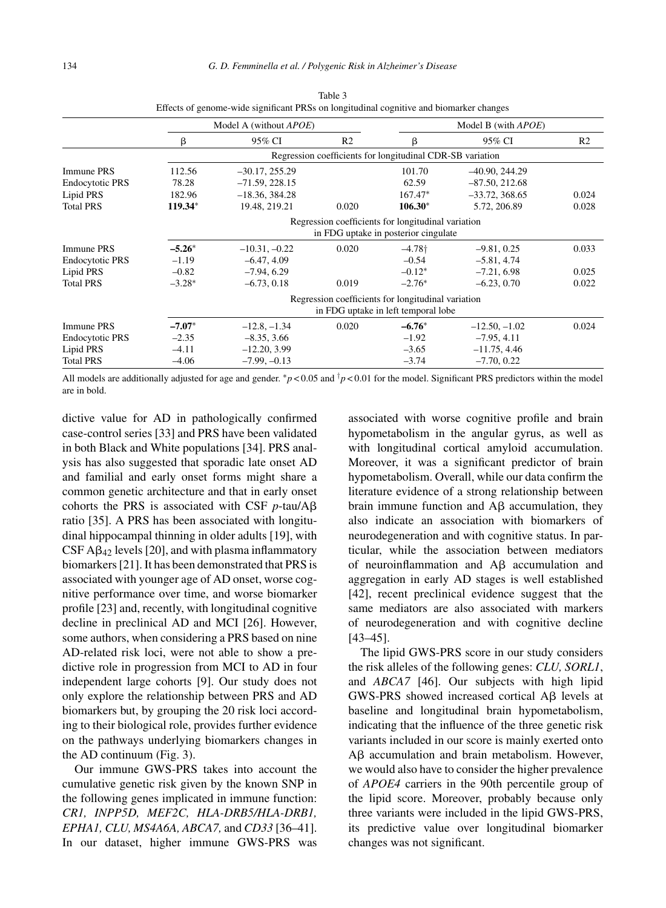|                        |                                                           | Model A (without <i>APOE</i> ) |                |                                                    | Model B (with <i>APOE</i> ) |                |  |  |  |
|------------------------|-----------------------------------------------------------|--------------------------------|----------------|----------------------------------------------------|-----------------------------|----------------|--|--|--|
|                        | β                                                         | 95% CI                         | R <sub>2</sub> | β                                                  | 95% CI                      | R <sub>2</sub> |  |  |  |
|                        | Regression coefficients for longitudinal CDR-SB variation |                                |                |                                                    |                             |                |  |  |  |
| Immune PRS             | 112.56                                                    | $-30.17, 255.29$               |                | 101.70                                             | $-40.90, 244.29$            |                |  |  |  |
| <b>Endocytotic PRS</b> | 78.28                                                     | $-71.59, 228.15$               |                | 62.59                                              | $-87.50, 212.68$            |                |  |  |  |
| Lipid PRS              | 182.96                                                    | $-18.36, 384.28$               |                | $167.47*$                                          | $-33.72, 368.65$            | 0.024          |  |  |  |
| <b>Total PRS</b>       | 119.34*                                                   | 19.48, 219.21                  | 0.020          | $106.30*$                                          | 5.72, 206.89                | 0.028          |  |  |  |
|                        |                                                           |                                |                | Regression coefficients for longitudinal variation |                             |                |  |  |  |
|                        | in FDG uptake in posterior cingulate                      |                                |                |                                                    |                             |                |  |  |  |
| Immune PRS             | $-5.26*$                                                  | $-10.31, -0.22$                | 0.020          | $-4.78$ <sup>+</sup>                               | $-9.81, 0.25$               | 0.033          |  |  |  |
| <b>Endocytotic PRS</b> | $-1.19$                                                   | $-6.47, 4.09$                  |                | $-0.54$                                            | $-5.81, 4.74$               |                |  |  |  |
| Lipid PRS              | $-0.82$                                                   | $-7.94, 6.29$                  |                | $-0.12*$                                           | $-7.21, 6.98$               | 0.025          |  |  |  |
| <b>Total PRS</b>       | $-3.28*$                                                  | $-6.73, 0.18$                  | 0.019          | $-2.76*$                                           | $-6.23, 0.70$               | 0.022          |  |  |  |
|                        | Regression coefficients for longitudinal variation        |                                |                |                                                    |                             |                |  |  |  |
|                        | in FDG uptake in left temporal lobe                       |                                |                |                                                    |                             |                |  |  |  |
| <b>Immune PRS</b>      | $-7.07*$                                                  | $-12.8, -1.34$                 | 0.020          | $-6.76*$                                           | $-12.50, -1.02$             | 0.024          |  |  |  |
| <b>Endocytotic PRS</b> | $-2.35$                                                   | $-8.35, 3.66$                  |                | $-1.92$                                            | $-7.95, 4.11$               |                |  |  |  |
| Lipid PRS              | $-4.11$                                                   | $-12.20, 3.99$                 |                | $-3.65$                                            | $-11.75, 4.46$              |                |  |  |  |
| <b>Total PRS</b>       | $-4.06$                                                   | $-7.99, -0.13$                 |                | $-3.74$                                            | $-7.70, 0.22$               |                |  |  |  |

Table 3 Effects of genome-wide significant PRSs on longitudinal cognitive and biomarker changes

All models are additionally adjusted for age and gender. ∗*p* < 0.05 and †*p* < 0.01 for the model. Significant PRS predictors within the model are in bold.

dictive value for AD in pathologically confirmed case-control series [33] and PRS have been validated in both Black and White populations [34]. PRS analysis has also suggested that sporadic late onset AD and familial and early onset forms might share a common genetic architecture and that in early onset cohorts the PRS is associated with CSF  $p$ -tau/A $\beta$ ratio [35]. A PRS has been associated with longitudinal hippocampal thinning in older adults [19], with  $CSF A\beta_{42}$  levels [20], and with plasma inflammatory biomarkers [21]. It has been demonstrated that PRS is associated with younger age of AD onset, worse cognitive performance over time, and worse biomarker profile [23] and, recently, with longitudinal cognitive decline in preclinical AD and MCI [26]. However, some authors, when considering a PRS based on nine AD-related risk loci, were not able to show a predictive role in progression from MCI to AD in four independent large cohorts [9]. Our study does not only explore the relationship between PRS and AD biomarkers but, by grouping the 20 risk loci according to their biological role, provides further evidence on the pathways underlying biomarkers changes in the AD continuum (Fig. 3).

Our immune GWS-PRS takes into account the cumulative genetic risk given by the known SNP in the following genes implicated in immune function: *CR1, INPP5D, MEF2C, HLA-DRB5/HLA-DRB1, EPHA1, CLU, MS4A6A, ABCA7,* and *CD33* [36–41]. In our dataset, higher immune GWS-PRS was

associated with worse cognitive profile and brain hypometabolism in the angular gyrus, as well as with longitudinal cortical amyloid accumulation. Moreover, it was a significant predictor of brain hypometabolism. Overall, while our data confirm the literature evidence of a strong relationship between brain immune function and  $\text{A}\beta$  accumulation, they also indicate an association with biomarkers of neurodegeneration and with cognitive status. In particular, while the association between mediators of neuroinflammation and  $\overrightarrow{AB}$  accumulation and aggregation in early AD stages is well established [42], recent preclinical evidence suggest that the same mediators are also associated with markers of neurodegeneration and with cognitive decline [43–45].

The lipid GWS-PRS score in our study considers the risk alleles of the following genes: *CLU, SORL1*, and *ABCA7* [46]. Our subjects with high lipid  $GWS-PRS$  showed increased cortical A $\beta$  levels at baseline and longitudinal brain hypometabolism, indicating that the influence of the three genetic risk variants included in our score is mainly exerted onto  $A\beta$  accumulation and brain metabolism. However, we would also have to consider the higher prevalence of *APOE4* carriers in the 90th percentile group of the lipid score. Moreover, probably because only three variants were included in the lipid GWS-PRS, its predictive value over longitudinal biomarker changes was not significant.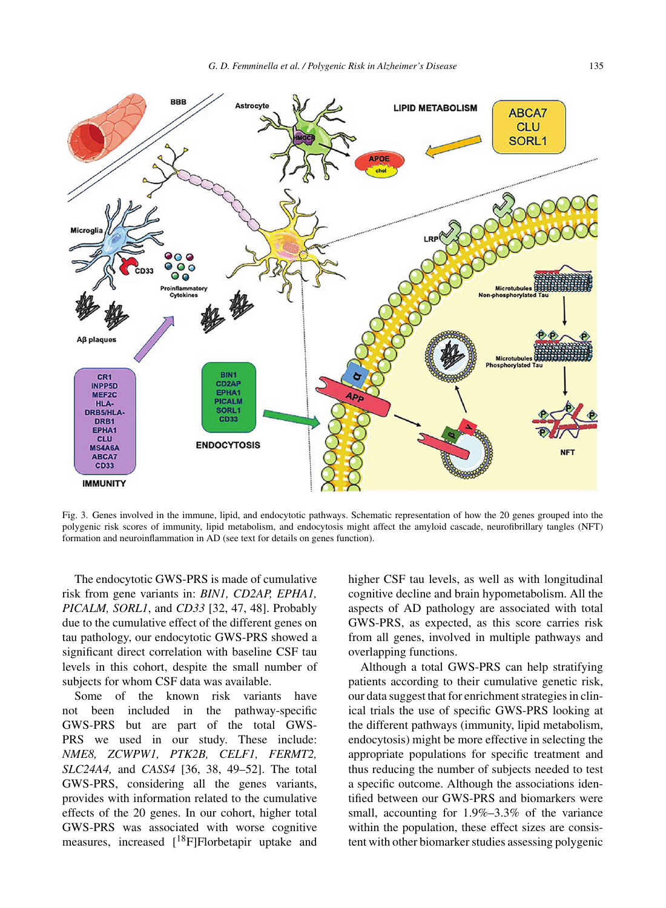

Fig. 3. Genes involved in the immune, lipid, and endocytotic pathways. Schematic representation of how the 20 genes grouped into the polygenic risk scores of immunity, lipid metabolism, and endocytosis might affect the amyloid cascade, neurofibrillary tangles (NFT) formation and neuroinflammation in AD (see text for details on genes function).

The endocytotic GWS-PRS is made of cumulative risk from gene variants in: *BIN1, CD2AP, EPHA1, PICALM, SORL1*, and *CD33* [32, 47, 48]. Probably due to the cumulative effect of the different genes on tau pathology, our endocytotic GWS-PRS showed a significant direct correlation with baseline CSF tau levels in this cohort, despite the small number of subjects for whom CSF data was available.

Some of the known risk variants have not been included in the pathway-specific GWS-PRS but are part of the total GWS-PRS we used in our study. These include: *NME8, ZCWPW1, PTK2B, CELF1, FERMT2, SLC24A4,* and *CASS4* [36, 38, 49–52]. The total GWS-PRS, considering all the genes variants, provides with information related to the cumulative effects of the 20 genes. In our cohort, higher total GWS-PRS was associated with worse cognitive measures, increased  $[18F]F$ lorbetapir uptake and higher CSF tau levels, as well as with longitudinal cognitive decline and brain hypometabolism. All the aspects of AD pathology are associated with total GWS-PRS, as expected, as this score carries risk from all genes, involved in multiple pathways and overlapping functions.

Although a total GWS-PRS can help stratifying patients according to their cumulative genetic risk, our data suggest that for enrichment strategies in clinical trials the use of specific GWS-PRS looking at the different pathways (immunity, lipid metabolism, endocytosis) might be more effective in selecting the appropriate populations for specific treatment and thus reducing the number of subjects needed to test a specific outcome. Although the associations identified between our GWS-PRS and biomarkers were small, accounting for 1.9%–3.3% of the variance within the population, these effect sizes are consistent with other biomarker studies assessing polygenic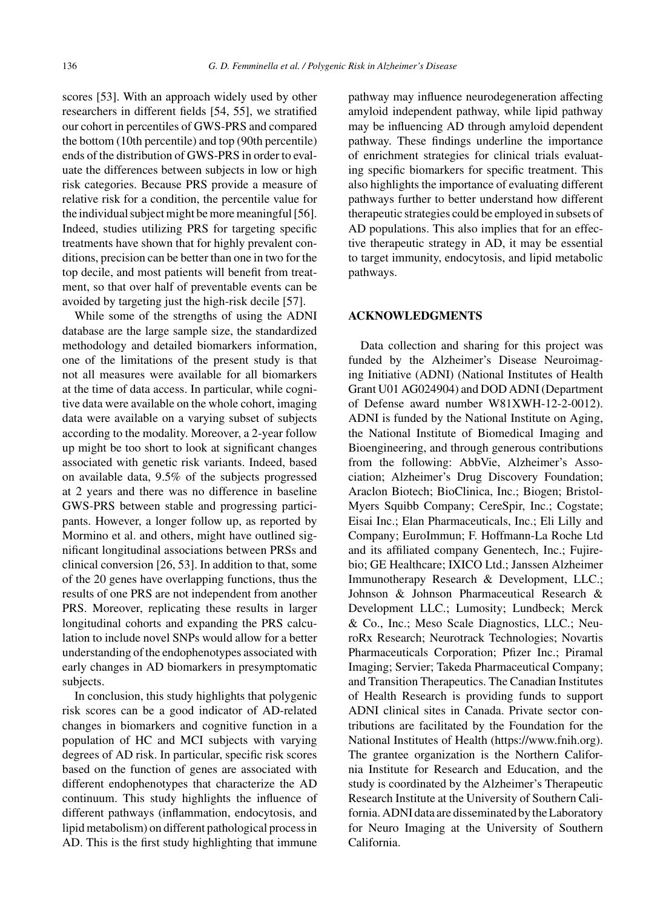scores [53]. With an approach widely used by other researchers in different fields [54, 55], we stratified our cohort in percentiles of GWS-PRS and compared the bottom (10th percentile) and top (90th percentile) ends of the distribution of GWS-PRS in order to evaluate the differences between subjects in low or high risk categories. Because PRS provide a measure of relative risk for a condition, the percentile value for the individual subject might be more meaningful [56]. Indeed, studies utilizing PRS for targeting specific treatments have shown that for highly prevalent conditions, precision can be better than one in two for the top decile, and most patients will benefit from treatment, so that over half of preventable events can be avoided by targeting just the high-risk decile [57].

While some of the strengths of using the ADNI database are the large sample size, the standardized methodology and detailed biomarkers information, one of the limitations of the present study is that not all measures were available for all biomarkers at the time of data access. In particular, while cognitive data were available on the whole cohort, imaging data were available on a varying subset of subjects according to the modality. Moreover, a 2-year follow up might be too short to look at significant changes associated with genetic risk variants. Indeed, based on available data, 9.5% of the subjects progressed at 2 years and there was no difference in baseline GWS-PRS between stable and progressing participants. However, a longer follow up, as reported by Mormino et al. and others, might have outlined significant longitudinal associations between PRSs and clinical conversion [26, 53]. In addition to that, some of the 20 genes have overlapping functions, thus the results of one PRS are not independent from another PRS. Moreover, replicating these results in larger longitudinal cohorts and expanding the PRS calculation to include novel SNPs would allow for a better understanding of the endophenotypes associated with early changes in AD biomarkers in presymptomatic subjects.

In conclusion, this study highlights that polygenic risk scores can be a good indicator of AD-related changes in biomarkers and cognitive function in a population of HC and MCI subjects with varying degrees of AD risk. In particular, specific risk scores based on the function of genes are associated with different endophenotypes that characterize the AD continuum. This study highlights the influence of different pathways (inflammation, endocytosis, and lipid metabolism) on different pathological process in AD. This is the first study highlighting that immune

pathway may influence neurodegeneration affecting amyloid independent pathway, while lipid pathway may be influencing AD through amyloid dependent pathway. These findings underline the importance of enrichment strategies for clinical trials evaluating specific biomarkers for specific treatment. This also highlights the importance of evaluating different pathways further to better understand how different therapeutic strategies could be employed in subsets of AD populations. This also implies that for an effective therapeutic strategy in AD, it may be essential to target immunity, endocytosis, and lipid metabolic pathways.

# **ACKNOWLEDGMENTS**

Data collection and sharing for this project was funded by the Alzheimer's Disease Neuroimaging Initiative (ADNI) (National Institutes of Health Grant U01 AG024904) and DOD ADNI (Department of Defense award number W81XWH-12-2-0012). ADNI is funded by the National Institute on Aging, the National Institute of Biomedical Imaging and Bioengineering, and through generous contributions from the following: AbbVie, Alzheimer's Association; Alzheimer's Drug Discovery Foundation; Araclon Biotech; BioClinica, Inc.; Biogen; Bristol-Myers Squibb Company; CereSpir, Inc.; Cogstate; Eisai Inc.; Elan Pharmaceuticals, Inc.; Eli Lilly and Company; EuroImmun; F. Hoffmann-La Roche Ltd and its affiliated company Genentech, Inc.; Fujirebio; GE Healthcare; IXICO Ltd.; Janssen Alzheimer Immunotherapy Research & Development, LLC.; Johnson & Johnson Pharmaceutical Research & Development LLC.; Lumosity; Lundbeck; Merck & Co., Inc.; Meso Scale Diagnostics, LLC.; NeuroRx Research; Neurotrack Technologies; Novartis Pharmaceuticals Corporation; Pfizer Inc.; Piramal Imaging; Servier; Takeda Pharmaceutical Company; and Transition Therapeutics. The Canadian Institutes of Health Research is providing funds to support ADNI clinical sites in Canada. Private sector contributions are facilitated by the Foundation for the National Institutes of Health (<https://www.fnih.org>). The grantee organization is the Northern California Institute for Research and Education, and the study is coordinated by the Alzheimer's Therapeutic Research Institute at the University of Southern California. ADNI data are disseminated by the Laboratory for Neuro Imaging at the University of Southern California.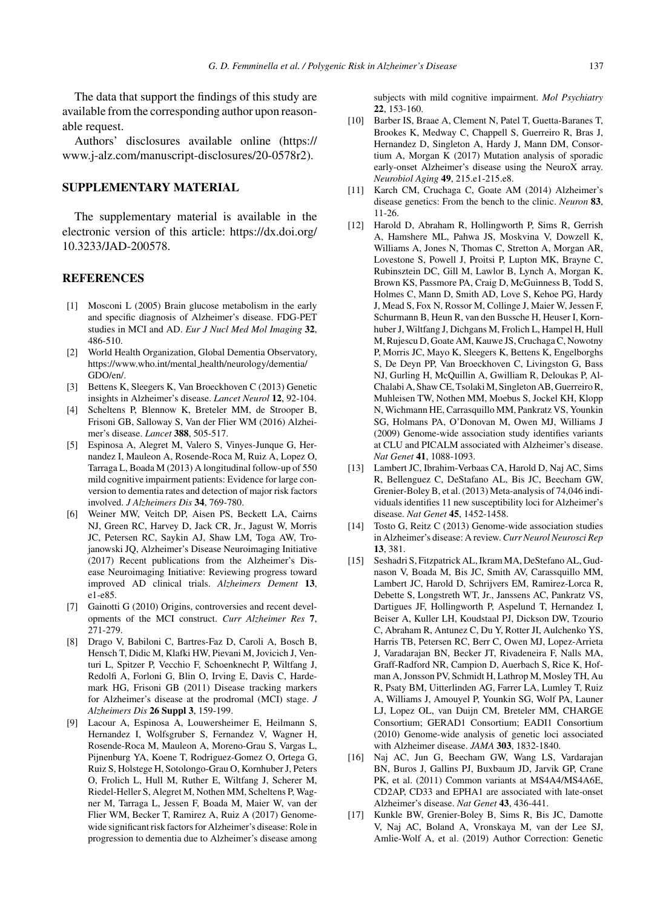The data that support the findings of this study are available from the corresponding author upon reasonable request.

Authors' disclosures available online (https:// www.j-alz.com/manuscript-disclosures/20-0578r2).

# **SUPPLEMENTARY MATERIAL**

The supplementary material is available in the electronic version of this article: [https://dx.doi.org/](https://dx.doi.org/10.3233/JAD-200578) 10.3233/JAD-200578.

#### **REFERENCES**

- [1] Mosconi L (2005) Brain glucose metabolism in the early and specific diagnosis of Alzheimer's disease. FDG-PET studies in MCI and AD. *Eur J Nucl Med Mol Imaging* **32**, 486-510.
- [2] World Health Organization, Global Dementia Observatory, [https://www.who.int/mental](https://www.who.int/mental_health/neurology/dementia/GDO/en/) health/neurology/dementia/ GDO/en/.
- [3] Bettens K, Sleegers K, Van Broeckhoven C (2013) Genetic insights in Alzheimer's disease. *Lancet Neurol* **12**, 92-104.
- [4] Scheltens P, Blennow K, Breteler MM, de Strooper B, Frisoni GB, Salloway S, Van der Flier WM (2016) Alzheimer's disease. *Lancet* **388**, 505-517.
- [5] Espinosa A, Alegret M, Valero S, Vinyes-Junque G, Hernandez I, Mauleon A, Rosende-Roca M, Ruiz A, Lopez O, Tarraga L, Boada M (2013) A longitudinal follow-up of 550 mild cognitive impairment patients: Evidence for large conversion to dementia rates and detection of major risk factors involved. *J Alzheimers Dis* **34**, 769-780.
- [6] Weiner MW, Veitch DP, Aisen PS, Beckett LA, Cairns NJ, Green RC, Harvey D, Jack CR, Jr., Jagust W, Morris JC, Petersen RC, Saykin AJ, Shaw LM, Toga AW, Trojanowski JQ, Alzheimer's Disease Neuroimaging Initiative (2017) Recent publications from the Alzheimer's Disease Neuroimaging Initiative: Reviewing progress toward improved AD clinical trials. *Alzheimers Dement* **13**, e1-e85.
- [7] Gainotti G (2010) Origins, controversies and recent developments of the MCI construct. *Curr Alzheimer Res* **7**, 271-279.
- [8] Drago V, Babiloni C, Bartres-Faz D, Caroli A, Bosch B, Hensch T, Didic M, Klafki HW, Pievani M, Jovicich J, Venturi L, Spitzer P, Vecchio F, Schoenknecht P, Wiltfang J, Redolfi A, Forloni G, Blin O, Irving E, Davis C, Hardemark HG, Frisoni GB (2011) Disease tracking markers for Alzheimer's disease at the prodromal (MCI) stage. *J Alzheimers Dis* **26 Suppl 3**, 159-199.
- [9] Lacour A, Espinosa A, Louwersheimer E, Heilmann S, Hernandez I, Wolfsgruber S, Fernandez V, Wagner H, Rosende-Roca M, Mauleon A, Moreno-Grau S, Vargas L, Pijnenburg YA, Koene T, Rodriguez-Gomez O, Ortega G, Ruiz S, Holstege H, Sotolongo-Grau O, Kornhuber J, Peters O, Frolich L, Hull M, Ruther E, Wiltfang J, Scherer M, Riedel-Heller S, Alegret M, Nothen MM, Scheltens P, Wagner M, Tarraga L, Jessen F, Boada M, Maier W, van der Flier WM, Becker T, Ramirez A, Ruiz A (2017) Genomewide significant risk factors for Alzheimer's disease: Role in progression to dementia due to Alzheimer's disease among

subjects with mild cognitive impairment. *Mol Psychiatry* **22**, 153-160.

- [10] Barber IS, Braae A, Clement N, Patel T, Guetta-Baranes T, Brookes K, Medway C, Chappell S, Guerreiro R, Bras J, [Hernandez](https://www.j-alz.com/manuscript-disclosures/20-0578r2) [D,](https://www.j-alz.com/manuscript-disclosures/20-0578r2) [Singleton](https://www.j-alz.com/manuscript-disclosures/20-0578r2) [A,](https://www.j-alz.com/manuscript-disclosures/20-0578r2) [Hardy](https://www.j-alz.com/manuscript-disclosures/20-0578r2) [J,](https://www.j-alz.com/manuscript-disclosures/20-0578r2) [Mann](https://www.j-alz.com/manuscript-disclosures/20-0578r2) [DM](https://www.j-alz.com/manuscript-disclosures/20-0578r2), Consortium A, Morgan K (2017) Mutation analysis of sporadic early-onset Alzheimer's disease using the NeuroX array. *Neurobiol Aging* **49**, 215.e1-215.e8.
- [11] Karch CM, Cruchaga C, Goate AM (2014) Alzheimer's disease genetics: From the bench to the clinic. *Neuron* **83**, 11-26.
- [12] Harold D, Abraham R, Hollingworth P, Sims R, Gerrish A, Hamshere ML, Pahwa JS, Moskvina V, Dowzell K, Williams A, Jones N, Thomas C, Stretton A, Morgan AR, Lovestone S, Powell J, Proitsi P, Lupton MK, Brayne C, Rubinsztein DC, Gill M, Lawlor B, Lynch A, Morgan K, Brown KS, Passmore PA, Craig D, McGuinness B, Todd S, Holmes C, Mann D, Smith AD, Love S, Kehoe PG, Hardy J, Mead S, Fox N, Rossor M, Collinge J, Maier W, Jessen F, Schurmann B, Heun R, van den Bussche H, Heuser I, Kornhuber J, Wiltfang J, Dichgans M, Frolich L, Hampel H, Hull M, Rujescu D, Goate AM, Kauwe JS, Cruchaga C, Nowotny P, Morris JC, Mayo K, Sleegers K, Bettens K, Engelborghs S, De Deyn PP, Van Broeckhoven C, Livingston G, Bass NJ, Gurling H, McQuillin A, Gwilliam R, Deloukas P, Al-Chalabi A, Shaw CE, Tsolaki M, Singleton AB, Guerreiro R, Muhleisen TW, Nothen MM, Moebus S, Jockel KH, Klopp N, Wichmann HE, Carrasquillo MM, Pankratz VS, Younkin SG, Holmans PA, O'Donovan M, Owen MJ, Williams J (2009) Genome-wide association study identifies variants at CLU and PICALM associated with Alzheimer's disease. *Nat Genet* **41**, 1088-1093.
- [13] Lambert JC, Ibrahim-Verbaas CA, Harold D, Naj AC, Sims R, Bellenguez C, DeStafano AL, Bis JC, Beecham GW, Grenier-Boley B, et al. (2013) Meta-analysis of 74,046 individuals identifies 11 new susceptibility loci for Alzheimer's disease. *Nat Genet* **45**, 1452-1458.
- [14] Tosto G, Reitz C (2013) Genome-wide association studies in Alzheimer's disease: A review.*Curr Neurol Neurosci Rep* **13**, 381.
- [15] Seshadri S, Fitzpatrick AL, Ikram MA, DeStefano AL, Gudnason V, Boada M, Bis JC, Smith AV, Carassquillo MM, Lambert JC, Harold D, Schrijvers EM, Ramirez-Lorca R, Debette S, Longstreth WT, Jr., Janssens AC, Pankratz VS, Dartigues JF, Hollingworth P, Aspelund T, Hernandez I, Beiser A, Kuller LH, Koudstaal PJ, Dickson DW, Tzourio C, Abraham R, Antunez C, Du Y, Rotter JI, Aulchenko YS, Harris TB, Petersen RC, Berr C, Owen MJ, Lopez-Arrieta J, Varadarajan BN, Becker JT, Rivadeneira F, Nalls MA, Graff-Radford NR, Campion D, Auerbach S, Rice K, Hofman A, Jonsson PV, Schmidt H, Lathrop M, Mosley TH, Au R, Psaty BM, Uitterlinden AG, Farrer LA, Lumley T, Ruiz A, Williams J, Amouyel P, Younkin SG, Wolf PA, Launer LJ, Lopez OL, van Duijn CM, Breteler MM, CHARGE Consortium; GERAD1 Consortium; EADI1 Consortium (2010) Genome-wide analysis of genetic loci associated with Alzheimer disease. *JAMA* **303**, 1832-1840.
- [16] Naj AC, Jun G, Beecham GW, Wang LS, Vardarajan BN, Buros J, Gallins PJ, Buxbaum JD, Jarvik GP, Crane PK, et al. (2011) Common variants at MS4A4/MS4A6E, CD2AP, CD33 and EPHA1 are associated with late-onset Alzheimer's disease. *Nat Genet* **43**, 436-441.
- [17] Kunkle BW, Grenier-Boley B, Sims R, Bis JC, Damotte V, Naj AC, Boland A, Vronskaya M, van der Lee SJ, Amlie-Wolf A, et al. (2019) Author Correction: Genetic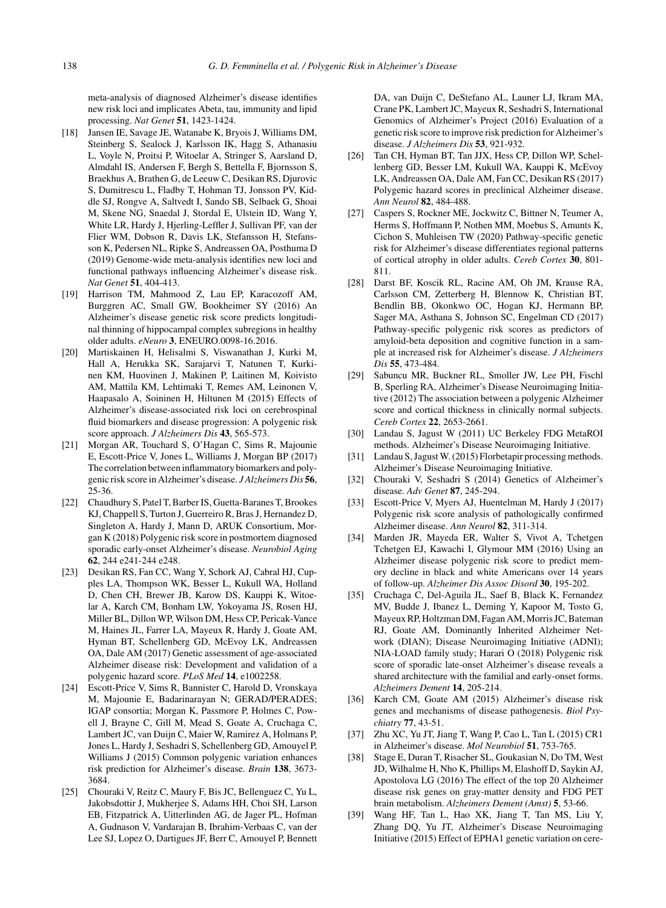meta-analysis of diagnosed Alzheimer's disease identifies new risk loci and implicates Abeta, tau, immunity and lipid processing. *Nat Genet* **51**, 1423-1424.

- [18] Jansen IE, Savage JE, Watanabe K, Bryois J, Williams DM, Steinberg S, Sealock J, Karlsson IK, Hagg S, Athanasiu L, Voyle N, Proitsi P, Witoelar A, Stringer S, Aarsland D, Almdahl IS, Andersen F, Bergh S, Bettella F, Bjornsson S, Braekhus A, Brathen G, de Leeuw C, Desikan RS, Djurovic S, Dumitrescu L, Fladby T, Hohman TJ, Jonsson PV, Kiddle SJ, Rongve A, Saltvedt I, Sando SB, Selbaek G, Shoai M, Skene NG, Snaedal J, Stordal E, Ulstein ID, Wang Y, White LR, Hardy J, Hjerling-Leffler J, Sullivan PF, van der Flier WM, Dobson R, Davis LK, Stefansson H, Stefansson K, Pedersen NL, Ripke S, Andreassen OA, Posthuma D (2019) Genome-wide meta-analysis identifies new loci and functional pathways influencing Alzheimer's disease risk. *Nat Genet* **51**, 404-413.
- [19] Harrison TM, Mahmood Z, Lau EP, Karacozoff AM, Burggren AC, Small GW, Bookheimer SY (2016) An Alzheimer's disease genetic risk score predicts longitudinal thinning of hippocampal complex subregions in healthy older adults. *eNeuro* **3**, ENEURO.0098-16.2016.
- [20] Martiskainen H, Helisalmi S, Viswanathan J, Kurki M, Hall A, Herukka SK, Sarajarvi T, Natunen T, Kurkinen KM, Huovinen J, Makinen P, Laitinen M, Koivisto AM, Mattila KM, Lehtimaki T, Remes AM, Leinonen V, Haapasalo A, Soininen H, Hiltunen M (2015) Effects of Alzheimer's disease-associated risk loci on cerebrospinal fluid biomarkers and disease progression: A polygenic risk score approach. *J Alzheimers Dis* **43**, 565-573.
- [21] Morgan AR, Touchard S, O'Hagan C, Sims R, Majounie E, Escott-Price V, Jones L, Williams J, Morgan BP (2017) The correlation between inflammatory biomarkers and polygenic risk score in Alzheimer's disease. *J Alzheimers Dis* **56**, 25-36.
- [22] Chaudhury S, Patel T, Barber IS, Guetta-Baranes T, Brookes KJ, Chappell S, Turton J, Guerreiro R, Bras J, Hernandez D, Singleton A, Hardy J, Mann D, ARUK Consortium, Morgan K (2018) Polygenic risk score in postmortem diagnosed sporadic early-onset Alzheimer's disease. *Neurobiol Aging* **62**, 244 e241-244 e248.
- [23] Desikan RS, Fan CC, Wang Y, Schork AJ, Cabral HJ, Cupples LA, Thompson WK, Besser L, Kukull WA, Holland D, Chen CH, Brewer JB, Karow DS, Kauppi K, Witoelar A, Karch CM, Bonham LW, Yokoyama JS, Rosen HJ, Miller BL, Dillon WP, Wilson DM, Hess CP, Pericak-Vance M, Haines JL, Farrer LA, Mayeux R, Hardy J, Goate AM, Hyman BT, Schellenberg GD, McEvoy LK, Andreassen OA, Dale AM (2017) Genetic assessment of age-associated Alzheimer disease risk: Development and validation of a polygenic hazard score. *PLoS Med* **14**, e1002258.
- [24] Escott-Price V, Sims R, Bannister C, Harold D, Vronskaya M, Majounie E, Badarinarayan N; GERAD/PERADES; IGAP consortia; Morgan K, Passmore P, Holmes C, Powell J, Brayne C, Gill M, Mead S, Goate A, Cruchaga C, Lambert JC, van Duijn C, Maier W, Ramirez A, Holmans P, Jones L, Hardy J, Seshadri S, Schellenberg GD, Amouyel P, Williams J (2015) Common polygenic variation enhances risk prediction for Alzheimer's disease. *Brain* **138**, 3673- 3684.
- [25] Chouraki V, Reitz C, Maury F, Bis JC, Bellenguez C, Yu L, Jakobsdottir J, Mukherjee S, Adams HH, Choi SH, Larson EB, Fitzpatrick A, Uitterlinden AG, de Jager PL, Hofman A, Gudnason V, Vardarajan B, Ibrahim-Verbaas C, van der Lee SJ, Lopez O, Dartigues JF, Berr C, Amouyel P, Bennett

DA, van Duijn C, DeStefano AL, Launer LJ, Ikram MA, Crane PK, Lambert JC, Mayeux R, Seshadri S, International Genomics of Alzheimer's Project (2016) Evaluation of a genetic risk score to improve risk prediction for Alzheimer's disease. *J Alzheimers Dis* **53**, 921-932.

- [26] Tan CH, Hyman BT, Tan JJX, Hess CP, Dillon WP, Schellenberg GD, Besser LM, Kukull WA, Kauppi K, McEvoy LK, Andreassen OA, Dale AM, Fan CC, Desikan RS (2017) Polygenic hazard scores in preclinical Alzheimer disease. *Ann Neurol* **82**, 484-488.
- [27] Caspers S, Rockner ME, Jockwitz C, Bittner N, Teumer A, Herms S, Hoffmann P, Nothen MM, Moebus S, Amunts K, Cichon S, Muhleisen TW (2020) Pathway-specific genetic risk for Alzheimer's disease differentiates regional patterns of cortical atrophy in older adults. *Cereb Cortex* **30**, 801- 811.
- [28] Darst BF, Koscik RL, Racine AM, Oh JM, Krause RA, Carlsson CM, Zetterberg H, Blennow K, Christian BT, Bendlin BB, Okonkwo OC, Hogan KJ, Hermann BP, Sager MA, Asthana S, Johnson SC, Engelman CD (2017) Pathway-specific polygenic risk scores as predictors of amyloid-beta deposition and cognitive function in a sample at increased risk for Alzheimer's disease. *J Alzheimers Dis* **55**, 473-484.
- [29] Sabuncu MR, Buckner RL, Smoller JW, Lee PH, Fischl B, Sperling RA, Alzheimer's Disease Neuroimaging Initiative (2012) The association between a polygenic Alzheimer score and cortical thickness in clinically normal subjects. *Cereb Cortex* **22**, 2653-2661.
- [30] Landau S, Jagust W (2011) UC Berkeley FDG MetaROI methods. Alzheimer's Disease Neuroimaging Initiative.
- [31] Landau S, Jagust W. (2015) Florbetapir processing methods. Alzheimer's Disease Neuroimaging Initiative.
- [32] Chouraki V, Seshadri S (2014) Genetics of Alzheimer's disease. *Adv Genet* **87**, 245-294.
- [33] Escott-Price V, Myers AJ, Huentelman M, Hardy J (2017) Polygenic risk score analysis of pathologically confirmed Alzheimer disease. *Ann Neurol* **82**, 311-314.
- [34] Marden JR, Mayeda ER, Walter S, Vivot A, Tchetgen Tchetgen EJ, Kawachi I, Glymour MM (2016) Using an Alzheimer disease polygenic risk score to predict memory decline in black and white Americans over 14 years of follow-up. *Alzheimer Dis Assoc Disord* **30**, 195-202.
- [35] Cruchaga C, Del-Aguila JL, Saef B, Black K, Fernandez MV, Budde J, Ibanez L, Deming Y, Kapoor M, Tosto G, Mayeux RP, Holtzman DM, Fagan AM, Morris JC, Bateman RJ, Goate AM, Dominantly Inherited Alzheimer Network (DIAN); Disease Neuroimaging Initiative (ADNI); NIA-LOAD family study; Harari O (2018) Polygenic risk score of sporadic late-onset Alzheimer's disease reveals a shared architecture with the familial and early-onset forms. *Alzheimers Dement* **14**, 205-214.
- [36] Karch CM, Goate AM (2015) Alzheimer's disease risk genes and mechanisms of disease pathogenesis. *Biol Psychiatry* **77**, 43-51.
- [37] Zhu XC, Yu JT, Jiang T, Wang P, Cao L, Tan L (2015) CR1 in Alzheimer's disease. *Mol Neurobiol* **51**, 753-765.
- [38] Stage E, Duran T, Risacher SL, Goukasian N, Do TM, West JD, Wilhalme H, Nho K, Phillips M, Elashoff D, Saykin AJ, Apostolova LG (2016) The effect of the top 20 Alzheimer disease risk genes on gray-matter density and FDG PET brain metabolism. *Alzheimers Dement (Amst)* **5**, 53-66.
- [39] Wang HF, Tan L, Hao XK, Jiang T, Tan MS, Liu Y, Zhang DQ, Yu JT, Alzheimer's Disease Neuroimaging Initiative (2015) Effect of EPHA1 genetic variation on cere-